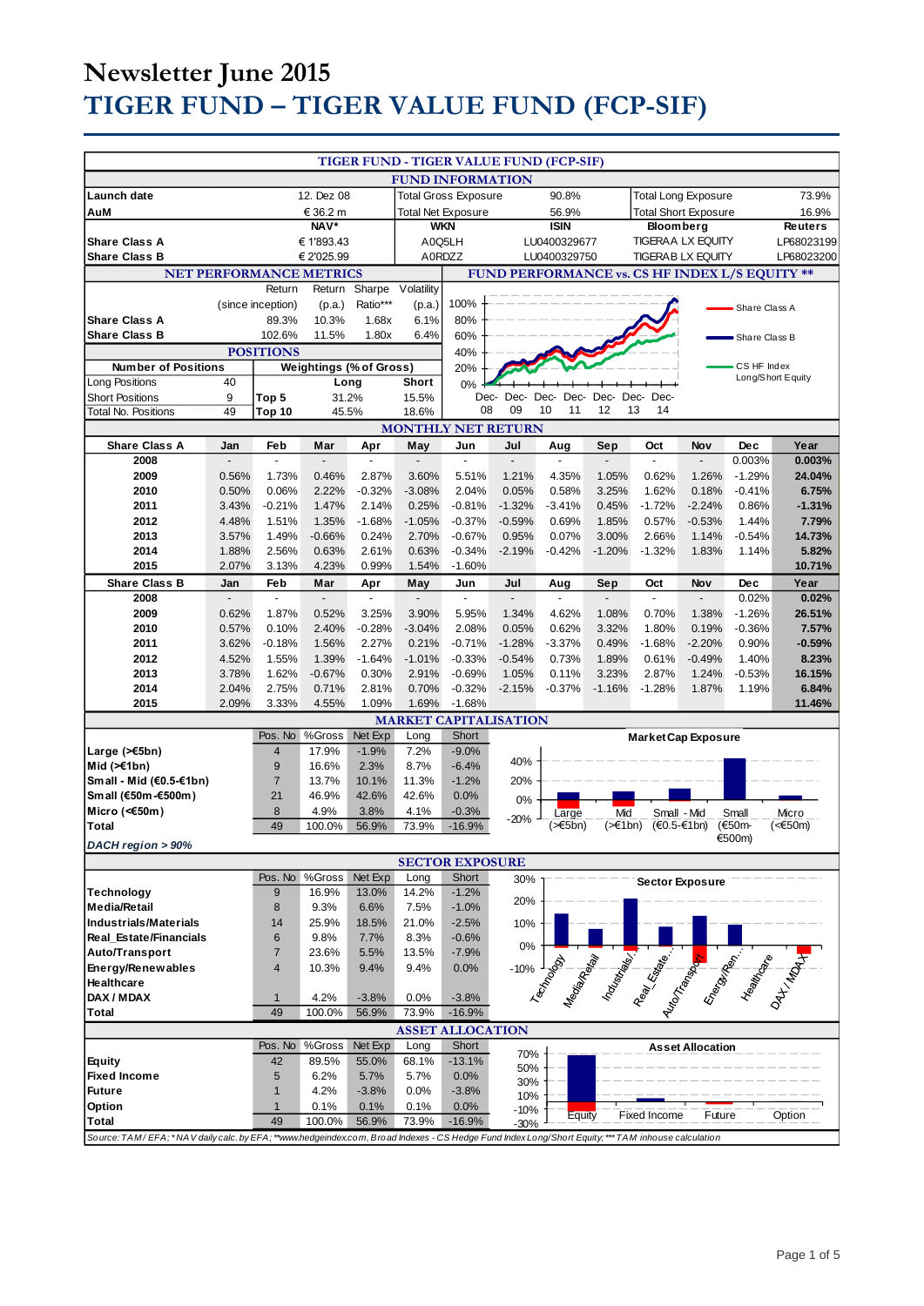# **Newsletter June 2015 TIGER FUND – TIGER VALUE FUND (FCP-SIF)**

|                                                                                                                                                    |                |                                |                         |                             |                |                        | TIGER FUND - TIGER VALUE FUND (FCP-SIF)        |                |                             |                                                                                                                                                                                                                                |                         |                   |                 |
|----------------------------------------------------------------------------------------------------------------------------------------------------|----------------|--------------------------------|-------------------------|-----------------------------|----------------|------------------------|------------------------------------------------|----------------|-----------------------------|--------------------------------------------------------------------------------------------------------------------------------------------------------------------------------------------------------------------------------|-------------------------|-------------------|-----------------|
| <b>FUND INFORMATION</b>                                                                                                                            |                |                                |                         |                             |                |                        |                                                |                |                             |                                                                                                                                                                                                                                |                         |                   |                 |
| Launch date                                                                                                                                        | 12. Dez 08     |                                |                         | <b>Total Gross Exposure</b> |                |                        | 90.8%                                          |                | <b>Total Long Exposure</b>  |                                                                                                                                                                                                                                |                         | 73.9%             |                 |
| AuM                                                                                                                                                | € 36.2 m       |                                |                         | <b>Total Net Exposure</b>   |                |                        | 56.9%                                          |                | <b>Total Short Exposure</b> |                                                                                                                                                                                                                                |                         | 16.9%             |                 |
|                                                                                                                                                    |                |                                | NAV*                    |                             |                | <b>WKN</b>             |                                                | <b>ISIN</b>    |                             | <b>Bloomberg</b>                                                                                                                                                                                                               |                         |                   | <b>Reuters</b>  |
| <b>Share Class A</b>                                                                                                                               |                |                                | € 1'893.43              |                             |                | A0Q5LH                 |                                                | LU0400329677   |                             | <b>TIGERAA LX EQUITY</b>                                                                                                                                                                                                       |                         |                   | LP68023199      |
| <b>Share Class B</b>                                                                                                                               |                |                                | € 2'025.99              |                             |                | A0RDZZ                 |                                                | LU0400329750   |                             | <b>TIGERABLX EQUITY</b>                                                                                                                                                                                                        |                         |                   | LP68023200      |
|                                                                                                                                                    |                | <b>NET PERFORMANCE METRICS</b> |                         |                             |                |                        | FUND PERFORMANCE vs. CS HF INDEX L/S EQUITY ** |                |                             |                                                                                                                                                                                                                                |                         |                   |                 |
|                                                                                                                                                    |                | Return                         | Return                  | Sharpe                      | Volatility     |                        |                                                |                |                             |                                                                                                                                                                                                                                |                         |                   |                 |
|                                                                                                                                                    |                | (since inception)              | (p.a.)                  | Ratio***                    | (p.a.)         | 100%                   |                                                |                |                             |                                                                                                                                                                                                                                |                         | Share Class A     |                 |
| <b>Share Class A</b>                                                                                                                               |                | 89.3%                          | 10.3%                   | 1.68x                       | 6.1%           | 80%                    |                                                |                |                             |                                                                                                                                                                                                                                |                         |                   |                 |
| <b>Share Class B</b>                                                                                                                               |                | 102.6%                         | 11.5%                   | 1.80x                       | 6.4%           | 60%                    |                                                |                |                             |                                                                                                                                                                                                                                |                         | Share Class B     |                 |
| <b>POSITIONS</b><br><b>Weightings (% of Gross)</b><br><b>Number of Positions</b>                                                                   |                |                                |                         |                             | 40%<br>20%     |                        |                                                |                |                             |                                                                                                                                                                                                                                | CS HF Index             |                   |                 |
| Long Positions                                                                                                                                     | 40             |                                | Long                    |                             | <b>Short</b>   | 0%                     |                                                |                |                             |                                                                                                                                                                                                                                |                         | Long/Short Equity |                 |
| <b>Short Positions</b>                                                                                                                             | 9              | Top 5                          | 31.2%                   |                             | 15.5%          |                        | Dec- Dec- Dec-                                 | Dec-           | Dec-                        | Dec-<br>Dec-                                                                                                                                                                                                                   |                         |                   |                 |
| <b>Total No. Positions</b>                                                                                                                         | 49             | Top 10                         | 45.5%                   |                             | 18.6%          | 08                     | 09                                             | 10<br>11       | 12                          | 13<br>14                                                                                                                                                                                                                       |                         |                   |                 |
|                                                                                                                                                    |                |                                |                         |                             |                |                        | <b>MONTHLY NET RETURN</b>                      |                |                             |                                                                                                                                                                                                                                |                         |                   |                 |
| <b>Share Class A</b>                                                                                                                               | Jan            | Feb                            | Mar                     | Apr                         | May            | Jun                    | Jul                                            | Aug            | Sep                         | Oct                                                                                                                                                                                                                            | Nov                     | Dec               | Year            |
| 2008                                                                                                                                               |                |                                |                         |                             |                |                        |                                                |                |                             |                                                                                                                                                                                                                                |                         | 0.003%            | 0.003%          |
| 2009                                                                                                                                               | 0.56%          | 1.73%                          | 0.46%                   | 2.87%                       | 3.60%          | 5.51%                  | 1.21%                                          | 4.35%          | 1.05%                       | 0.62%                                                                                                                                                                                                                          | 1.26%                   | $-1.29%$          | 24.04%          |
| 2010                                                                                                                                               | 0.50%          | 0.06%                          | 2.22%                   | $-0.32%$                    | $-3.08%$       | 2.04%                  | 0.05%                                          | 0.58%          | 3.25%                       | 1.62%                                                                                                                                                                                                                          | 0.18%                   | $-0.41%$          | 6.75%           |
| 2011                                                                                                                                               | 3.43%          | $-0.21%$                       | 1.47%                   | 2.14%                       | 0.25%          | $-0.81%$               | $-1.32%$                                       | $-3.41%$       | 0.45%                       | $-1.72%$                                                                                                                                                                                                                       | $-2.24%$                | 0.86%             | $-1.31%$        |
| 2012                                                                                                                                               | 4.48%          | 1.51%                          | 1.35%                   | $-1.68%$                    | $-1.05%$       | $-0.37%$               | $-0.59%$                                       | 0.69%          | 1.85%                       | 0.57%                                                                                                                                                                                                                          | $-0.53%$                | 1.44%             | 7.79%           |
| 2013                                                                                                                                               | 3.57%          | 1.49%                          | $-0.66%$                | 0.24%                       | 2.70%          | $-0.67%$               | 0.95%                                          | 0.07%          | 3.00%                       | 2.66%                                                                                                                                                                                                                          | 1.14%                   | $-0.54%$          | 14.73%          |
| 2014<br>2015                                                                                                                                       | 1.88%<br>2.07% | 2.56%<br>3.13%                 | 0.63%<br>4.23%          | 2.61%<br>0.99%              | 0.63%<br>1.54% | $-0.34%$<br>$-1.60%$   | $-2.19%$                                       | $-0.42%$       | $-1.20%$                    | $-1.32%$                                                                                                                                                                                                                       | 1.83%                   | 1.14%             | 5.82%<br>10.71% |
| <b>Share Class B</b>                                                                                                                               | Jan            | Feb                            | Mar                     | Apr                         | May            | Jun                    | Jul                                            | Aug            | Sep                         | Oct                                                                                                                                                                                                                            | Nov                     | Dec               | Year            |
| 2008                                                                                                                                               |                | $\overline{\phantom{a}}$       | $\Box$                  | $\mathbf{r}$                | $\blacksquare$ | $\blacksquare$         | $\overline{a}$                                 | $\overline{a}$ | $\mathcal{L}$               | $\overline{\phantom{a}}$                                                                                                                                                                                                       | ÷,                      | 0.02%             | 0.02%           |
| 2009                                                                                                                                               | 0.62%          | 1.87%                          | 0.52%                   | 3.25%                       | 3.90%          | 5.95%                  | 1.34%                                          | 4.62%          | 1.08%                       | 0.70%                                                                                                                                                                                                                          | 1.38%                   | $-1.26%$          | 26.51%          |
| 2010                                                                                                                                               | 0.57%          | 0.10%                          | 2.40%                   | $-0.28%$                    | $-3.04%$       | 2.08%                  | 0.05%                                          | 0.62%          | 3.32%                       | 1.80%                                                                                                                                                                                                                          | 0.19%                   | $-0.36%$          | 7.57%           |
| 2011                                                                                                                                               | 3.62%          | $-0.18%$                       | 1.56%                   | 2.27%                       | 0.21%          | $-0.71%$               | $-1.28%$                                       | $-3.37%$       | 0.49%                       | $-1.68%$                                                                                                                                                                                                                       | $-2.20%$                | 0.90%             | $-0.59%$        |
| 2012                                                                                                                                               | 4.52%          | 1.55%                          | 1.39%                   | $-1.64%$                    | $-1.01%$       | $-0.33%$               | $-0.54%$                                       | 0.73%          | 1.89%                       | 0.61%                                                                                                                                                                                                                          | $-0.49%$                | 1.40%             | 8.23%           |
| 2013                                                                                                                                               | 3.78%          | 1.62%                          | $-0.67%$                | 0.30%                       | 2.91%          | $-0.69%$               | 1.05%                                          | 0.11%          | 3.23%                       | 2.87%                                                                                                                                                                                                                          | 1.24%                   | $-0.53%$          | 16.15%          |
| 2014                                                                                                                                               | 2.04%          | 2.75%                          | 0.71%                   | 2.81%                       | 0.70%          | $-0.32%$               | $-2.15%$                                       | $-0.37%$       | $-1.16%$                    | $-1.28%$                                                                                                                                                                                                                       | 1.87%                   | 1.19%             | 6.84%           |
| 2015                                                                                                                                               | 2.09%          | 3.33%                          | 4.55%                   | 1.09%                       | 1.69%          | $-1.68%$               |                                                |                |                             |                                                                                                                                                                                                                                |                         |                   | 11.46%          |
|                                                                                                                                                    |                | Pos. No                        | %Gross                  | Net Exp                     | Long           | Short                  | <b>MARKET CAPITALISATION</b>                   |                |                             | <b>Market Cap Exposure</b>                                                                                                                                                                                                     |                         |                   |                 |
| Large $($ $\leq$ 5bn)                                                                                                                              |                | $\overline{\mathbf{4}}$        | 17.9%                   | $-1.9%$                     | 7.2%           | $-9.0%$                |                                                |                |                             |                                                                                                                                                                                                                                |                         |                   |                 |
| Mid $(\ge 1$ bn)                                                                                                                                   |                | 9                              | 16.6%                   | 2.3%                        | 8.7%           | $-6.4%$                | 40%                                            |                |                             |                                                                                                                                                                                                                                |                         |                   |                 |
| Small - Mid (€0.5-€1bn)                                                                                                                            |                | $\overline{7}$                 | 13.7%                   | 10.1%                       | 11.3%          | $-1.2%$                | 20%                                            |                |                             |                                                                                                                                                                                                                                |                         |                   |                 |
| Sm all (€50m-€500m)                                                                                                                                |                | 21                             | 46.9%                   | 42.6%                       | 42.6%          | 0.0%                   | 0%                                             |                |                             |                                                                                                                                                                                                                                |                         |                   |                 |
| Micro (< $60$ m)                                                                                                                                   |                | 8                              | 4.9%                    | 3.8%                        | 4.1%           | $-0.3%$                | $-20%$                                         | Large          | Mid                         | Small - Mid                                                                                                                                                                                                                    |                         | Small             | Micro           |
| Total                                                                                                                                              |                | 49                             | 100.0%                  | 56.9%                       | 73.9%          | $-16.9%$               |                                                | $($ >€5bn)     | (>€1bn)                     |                                                                                                                                                                                                                                | $(60.5 - 61bn)$         | (€50m-<br>€500m)  | (<€50m)         |
| DACH region > 90%                                                                                                                                  |                |                                |                         |                             |                |                        |                                                |                |                             |                                                                                                                                                                                                                                |                         |                   |                 |
|                                                                                                                                                    |                |                                |                         |                             |                | <b>SECTOR EXPOSURE</b> |                                                |                |                             |                                                                                                                                                                                                                                |                         |                   |                 |
| <b>Technology</b>                                                                                                                                  |                | 9                              | Pos. No %Gross<br>16.9% | Net Exp<br>13.0%            | Long<br>14.2%  | Short<br>$-1.2%$       | 30%                                            |                |                             |                                                                                                                                                                                                                                | <b>Sector Exposure</b>  |                   |                 |
| <b>Media/Retail</b>                                                                                                                                |                | 8                              | 9.3%                    | 6.6%                        | 7.5%           | $-1.0%$                | 20%                                            |                |                             |                                                                                                                                                                                                                                |                         |                   |                 |
| <b>Industrials/Materials</b>                                                                                                                       |                | 14                             | 25.9%                   | 18.5%                       | 21.0%          | $-2.5%$                | 10%                                            |                |                             |                                                                                                                                                                                                                                |                         |                   |                 |
| Real Estate/Financials                                                                                                                             |                | 6                              | 9.8%                    | 7.7%                        | 8.3%           | $-0.6%$                |                                                |                |                             |                                                                                                                                                                                                                                |                         |                   |                 |
| Auto/Transport                                                                                                                                     |                | $\overline{7}$                 | 23.6%                   | 5.5%                        | 13.5%          | $-7.9%$                | $0\%$                                          |                |                             |                                                                                                                                                                                                                                |                         |                   |                 |
| Energy/Renewables                                                                                                                                  |                | $\overline{4}$                 | 10.3%                   | 9.4%                        | 9.4%           | 0.0%                   | $-10%$                                         |                |                             |                                                                                                                                                                                                                                |                         |                   |                 |
| Healthcare                                                                                                                                         |                |                                |                         |                             |                |                        |                                                |                |                             |                                                                                                                                                                                                                                |                         |                   |                 |
| DAX / MDAX                                                                                                                                         |                | $\mathbf{1}$                   | 4.2%                    | $-3.8%$                     | 0.0%           | $-3.8%$                |                                                |                |                             | Representation of the Contract of the Contract of the Contract of the Contract of the Contract of the Contract of the Contract of the Contract of the Contract of the Contract of the Contract of the Contract of the Contract |                         |                   |                 |
| <b>Total</b>                                                                                                                                       |                | 49                             | 100.0%                  | 56.9%                       | 73.9%          | $-16.9%$               |                                                |                |                             |                                                                                                                                                                                                                                |                         |                   |                 |
| <b>ASSET ALLOCATION</b>                                                                                                                            |                |                                |                         |                             |                |                        |                                                |                |                             |                                                                                                                                                                                                                                |                         |                   |                 |
| Equity                                                                                                                                             |                | Pos. No<br>42                  | %Gross<br>89.5%         | Net Exp<br>55.0%            | Long<br>68.1%  | Short<br>$-13.1%$      | 70%                                            |                |                             |                                                                                                                                                                                                                                | <b>Asset Allocation</b> |                   |                 |
| <b>Fixed Income</b>                                                                                                                                |                | 5                              | 6.2%                    | 5.7%                        | 5.7%           | 0.0%                   | 50%                                            |                |                             |                                                                                                                                                                                                                                |                         |                   |                 |
| <b>Future</b>                                                                                                                                      |                | $\mathbf{1}$                   | 4.2%                    | $-3.8%$                     | 0.0%           | $-3.8%$                | 30%<br>10%                                     |                |                             |                                                                                                                                                                                                                                |                         |                   |                 |
| Option                                                                                                                                             |                | $\mathbf{1}$                   | 0.1%                    | 0.1%                        | 0.1%           | 0.0%                   | $-10%$                                         |                |                             |                                                                                                                                                                                                                                |                         |                   |                 |
| <b>Total</b>                                                                                                                                       |                | 49                             | 100.0%                  | 56.9%                       | 73.9%          | $-16.9%$               | $-30%$                                         | Equity         |                             | Fixed Income                                                                                                                                                                                                                   | Future                  |                   | Option          |
| Source: TAM/EFA; *NAV daily calc. by EFA; **www.hedgeindex.com, Broad Indexes - CS Hedge Fund Index Long/Short Equity; *** TAM inhouse calculation |                |                                |                         |                             |                |                        |                                                |                |                             |                                                                                                                                                                                                                                |                         |                   |                 |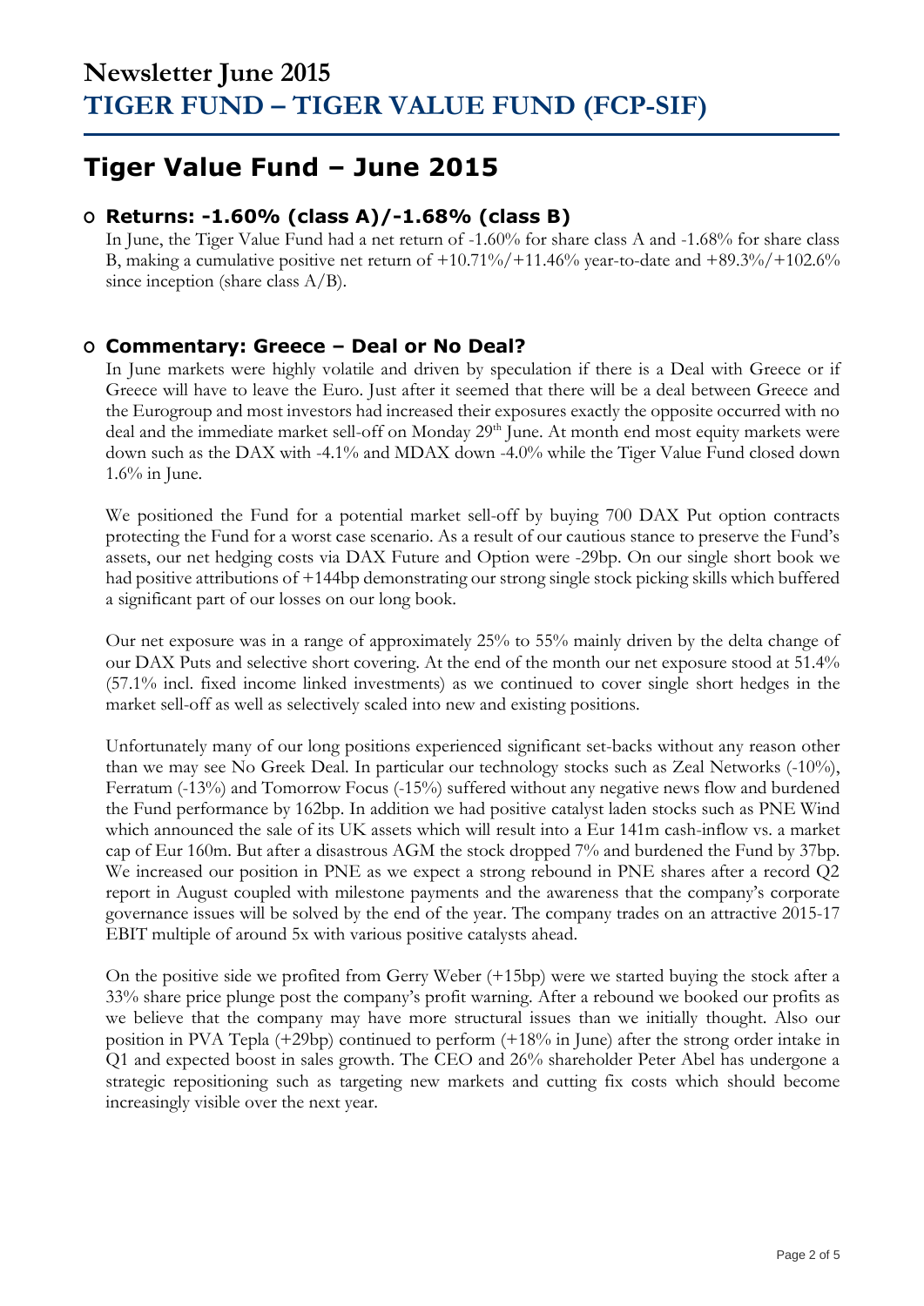## **Tiger Value Fund – June 2015**

## **O Returns: -1.60% (class A)/-1.68% (class B)**

In June, the Tiger Value Fund had a net return of -1.60% for share class A and -1.68% for share class B, making a cumulative positive net return of  $+10.71\%/+11.46\%$  year-to-date and  $+89.3\%/+102.6\%$ since inception (share class  $A/B$ ).

### **O Commentary: Greece – Deal or No Deal?**

In June markets were highly volatile and driven by speculation if there is a Deal with Greece or if Greece will have to leave the Euro. Just after it seemed that there will be a deal between Greece and the Eurogroup and most investors had increased their exposures exactly the opposite occurred with no deal and the immediate market sell-off on Monday 29<sup>th</sup> June. At month end most equity markets were down such as the DAX with -4.1% and MDAX down -4.0% while the Tiger Value Fund closed down  $1.6\%$  in June.

We positioned the Fund for a potential market sell-off by buying 700 DAX Put option contracts protecting the Fund for a worst case scenario. As a result of our cautious stance to preserve the Fund's assets, our net hedging costs via DAX Future and Option were -29bp. On our single short book we had positive attributions of +144bp demonstrating our strong single stock picking skills which buffered a significant part of our losses on our long book.

Our net exposure was in a range of approximately 25% to 55% mainly driven by the delta change of our DAX Puts and selective short covering. At the end of the month our net exposure stood at 51.4% (57.1% incl. fixed income linked investments) as we continued to cover single short hedges in the market sell-off as well as selectively scaled into new and existing positions.

Unfortunately many of our long positions experienced significant set-backs without any reason other than we may see No Greek Deal. In particular our technology stocks such as Zeal Networks (-10%), Ferratum (-13%) and Tomorrow Focus (-15%) suffered without any negative news flow and burdened the Fund performance by 162bp. In addition we had positive catalyst laden stocks such as PNE Wind which announced the sale of its UK assets which will result into a Eur 141m cash-inflow vs. a market cap of Eur 160m. But after a disastrous AGM the stock dropped 7% and burdened the Fund by 37bp. We increased our position in PNE as we expect a strong rebound in PNE shares after a record Q2 report in August coupled with milestone payments and the awareness that the company's corporate governance issues will be solved by the end of the year. The company trades on an attractive 2015-17 EBIT multiple of around 5x with various positive catalysts ahead.

On the positive side we profited from Gerry Weber (+15bp) were we started buying the stock after a 33% share price plunge post the company's profit warning. After a rebound we booked our profits as we believe that the company may have more structural issues than we initially thought. Also our position in PVA Tepla (+29bp) continued to perform (+18% in June) after the strong order intake in Q1 and expected boost in sales growth. The CEO and 26% shareholder Peter Abel has undergone a strategic repositioning such as targeting new markets and cutting fix costs which should become increasingly visible over the next year.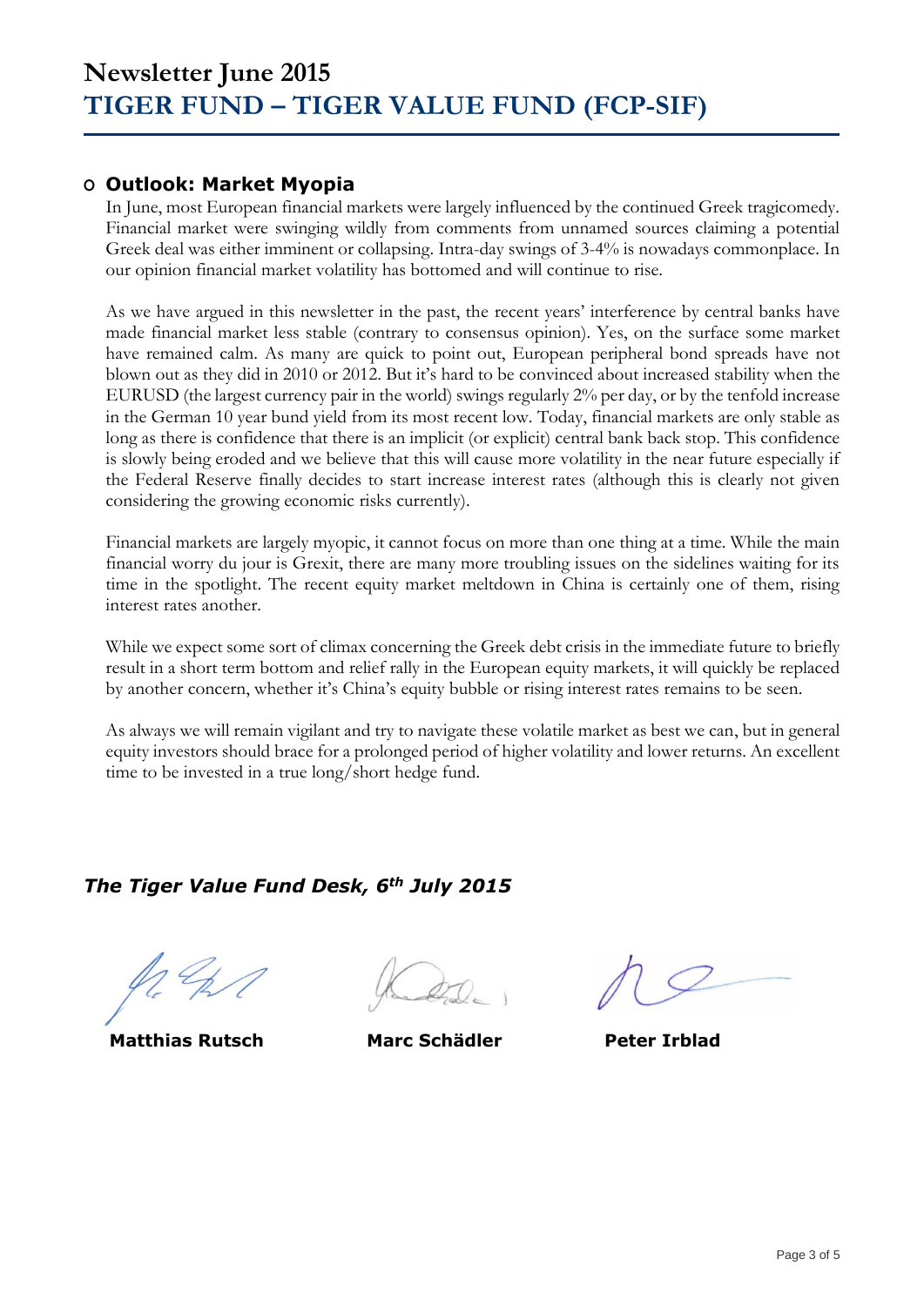### **O Outlook: Market Myopia**

In June, most European financial markets were largely influenced by the continued Greek tragicomedy. Financial market were swinging wildly from comments from unnamed sources claiming a potential Greek deal was either imminent or collapsing. Intra-day swings of 3-4% is nowadays commonplace. In our opinion financial market volatility has bottomed and will continue to rise.

As we have argued in this newsletter in the past, the recent years' interference by central banks have made financial market less stable (contrary to consensus opinion). Yes, on the surface some market have remained calm. As many are quick to point out, European peripheral bond spreads have not blown out as they did in 2010 or 2012. But it's hard to be convinced about increased stability when the EURUSD (the largest currency pair in the world) swings regularly 2% per day, or by the tenfold increase in the German 10 year bund yield from its most recent low. Today, financial markets are only stable as long as there is confidence that there is an implicit (or explicit) central bank back stop. This confidence is slowly being eroded and we believe that this will cause more volatility in the near future especially if the Federal Reserve finally decides to start increase interest rates (although this is clearly not given considering the growing economic risks currently).

Financial markets are largely myopic, it cannot focus on more than one thing at a time. While the main financial worry du jour is Grexit, there are many more troubling issues on the sidelines waiting for its time in the spotlight. The recent equity market meltdown in China is certainly one of them, rising interest rates another.

While we expect some sort of climax concerning the Greek debt crisis in the immediate future to briefly result in a short term bottom and relief rally in the European equity markets, it will quickly be replaced by another concern, whether it's China's equity bubble or rising interest rates remains to be seen.

As always we will remain vigilant and try to navigate these volatile market as best we can, but in general equity investors should brace for a prolonged period of higher volatility and lower returns. An excellent time to be invested in a true long/short hedge fund.

### *The Tiger Value Fund Desk, 6th July 2015*

**Matthias Rutsch Marc Schädler Peter Irblad**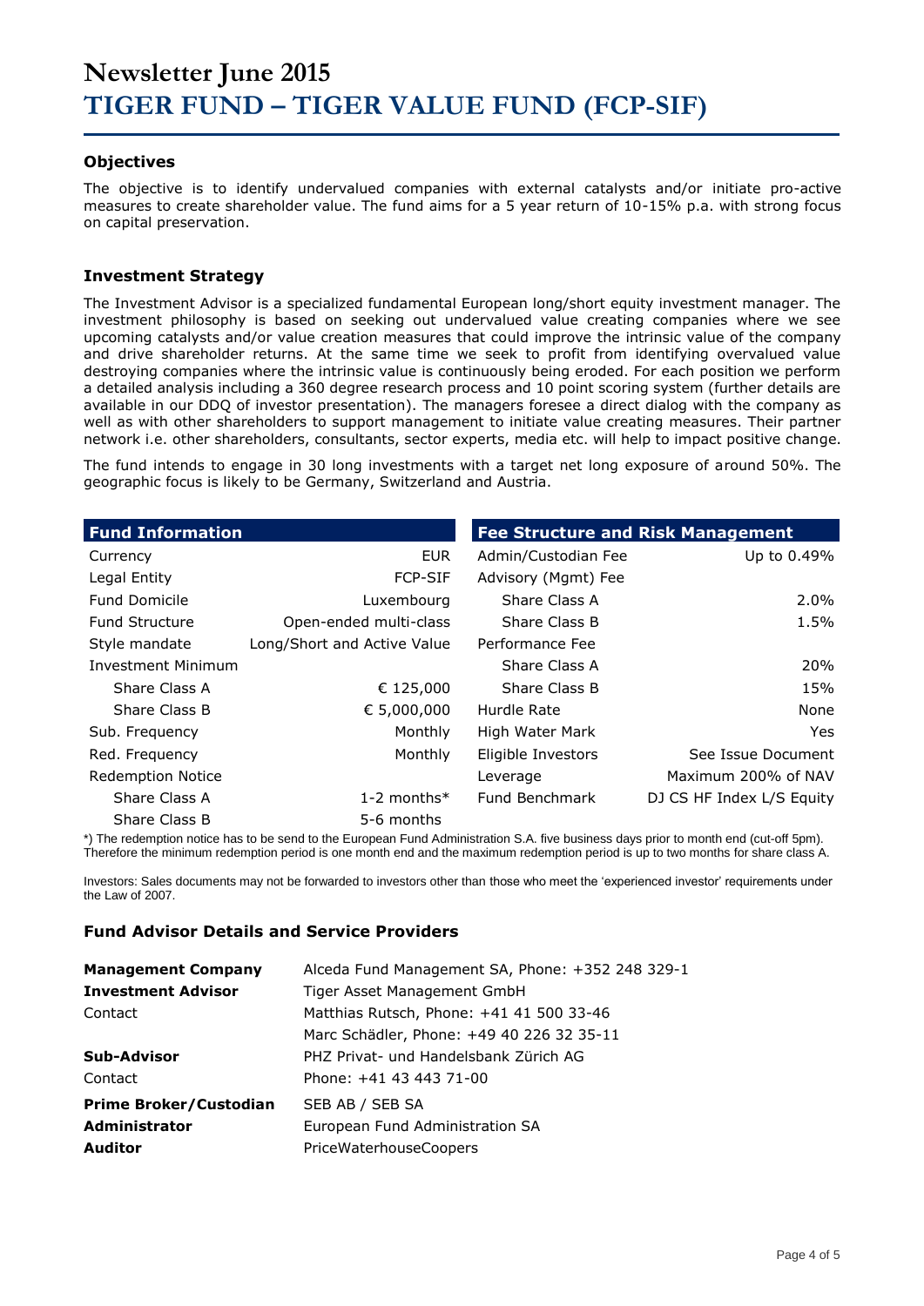## **Newsletter June 2015 TIGER FUND – TIGER VALUE FUND (FCP-SIF)**

### **Objectives**

The objective is to identify undervalued companies with external catalysts and/or initiate pro-active measures to create shareholder value. The fund aims for a 5 year return of 10-15% p.a. with strong focus on capital preservation.

#### **Investment Strategy**

The Investment Advisor is a specialized fundamental European long/short equity investment manager. The investment philosophy is based on seeking out undervalued value creating companies where we see upcoming catalysts and/or value creation measures that could improve the intrinsic value of the company and drive shareholder returns. At the same time we seek to profit from identifying overvalued value destroying companies where the intrinsic value is continuously being eroded. For each position we perform a detailed analysis including a 360 degree research process and 10 point scoring system (further details are available in our DDQ of investor presentation). The managers foresee a direct dialog with the company as well as with other shareholders to support management to initiate value creating measures. Their partner network i.e. other shareholders, consultants, sector experts, media etc. will help to impact positive change.

The fund intends to engage in 30 long investments with a target net long exposure of around 50%. The geographic focus is likely to be Germany, Switzerland and Austria.

| <b>Fund Information</b>   |                             | <b>Fee Structure and Risk Management</b> |                           |  |  |  |
|---------------------------|-----------------------------|------------------------------------------|---------------------------|--|--|--|
| Currency                  | <b>EUR</b>                  | Admin/Custodian Fee                      | Up to 0.49%               |  |  |  |
| Legal Entity              | <b>FCP-SIF</b>              | Advisory (Mgmt) Fee                      |                           |  |  |  |
| <b>Fund Domicile</b>      | Luxembourg                  | Share Class A                            | $2.0\%$                   |  |  |  |
| <b>Fund Structure</b>     | Open-ended multi-class      | Share Class B                            | 1.5%                      |  |  |  |
| Style mandate             | Long/Short and Active Value | Performance Fee                          |                           |  |  |  |
| <b>Investment Minimum</b> |                             | Share Class A                            | 20%                       |  |  |  |
| Share Class A             | € 125,000                   | Share Class B                            | 15%                       |  |  |  |
| Share Class B             | € 5,000,000                 | Hurdle Rate                              | None                      |  |  |  |
| Sub. Frequency            | Monthly                     | High Water Mark                          | Yes.                      |  |  |  |
| Red. Frequency            | Monthly                     | Eligible Investors                       | See Issue Document        |  |  |  |
| <b>Redemption Notice</b>  |                             | Leverage                                 | Maximum 200% of NAV       |  |  |  |
| Share Class A             | 1-2 months $*$              | Fund Benchmark                           | DJ CS HF Index L/S Equity |  |  |  |
| Share Class B             | 5-6 months                  |                                          |                           |  |  |  |

\*) The redemption notice has to be send to the European Fund Administration S.A. five business days prior to month end (cut-off 5pm). Therefore the minimum redemption period is one month end and the maximum redemption period is up to two months for share class A.

Investors: Sales documents may not be forwarded to investors other than those who meet the 'experienced investor' requirements under the Law of 2007.

#### **Fund Advisor Details and Service Providers**

| <b>Management Company</b>     | Alceda Fund Management SA, Phone: +352 248 329-1 |
|-------------------------------|--------------------------------------------------|
| <b>Investment Advisor</b>     | Tiger Asset Management GmbH                      |
| Contact                       | Matthias Rutsch, Phone: +41 41 500 33-46         |
|                               | Marc Schädler, Phone: +49 40 226 32 35-11        |
| Sub-Advisor                   | PHZ Privat- und Handelsbank Zürich AG            |
| Contact                       | Phone: +41 43 443 71-00                          |
| <b>Prime Broker/Custodian</b> | SEB AB / SEB SA                                  |
| Administrator                 | European Fund Administration SA                  |
| <b>Auditor</b>                | PriceWaterhouseCoopers                           |